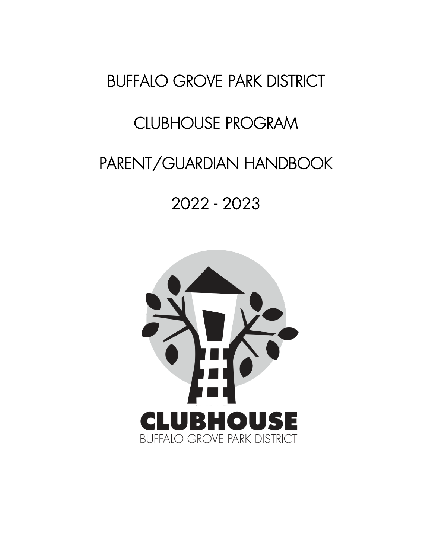# BUFFALO GROVE PARK DISTRICT

# CLUBHOUSE PROGRAM

# PARENT/GUARDIAN HANDBOOK

# 2022 - 2023

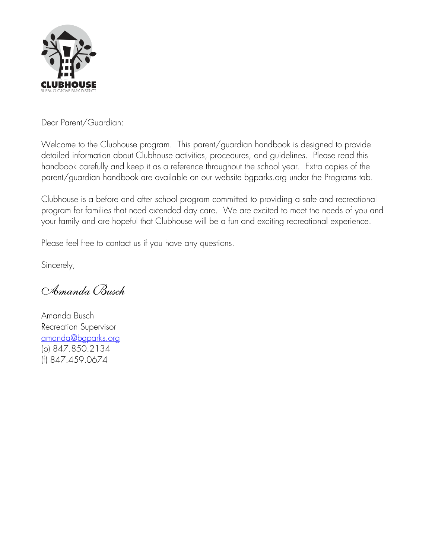

Dear Parent/Guardian:

Welcome to the Clubhouse program. This parent/guardian handbook is designed to provide detailed information about Clubhouse activities, procedures, and guidelines. Please read this handbook carefully and keep it as a reference throughout the school year. Extra copies of the parent/guardian handbook are available on our website bgparks.org under the Programs tab.

Clubhouse is a before and after school program committed to providing a safe and recreational program for families that need extended day care. We are excited to meet the needs of you and your family and are hopeful that Clubhouse will be a fun and exciting recreational experience.

Please feel free to contact us if you have any questions.

Sincerely,

*Amanda Busch*

Amanda Busch Recreation Supervisor [amanda@bgparks.org](mailto:amanda@bgparks.org) (p) 847.850.2134 (f) 847.459.0674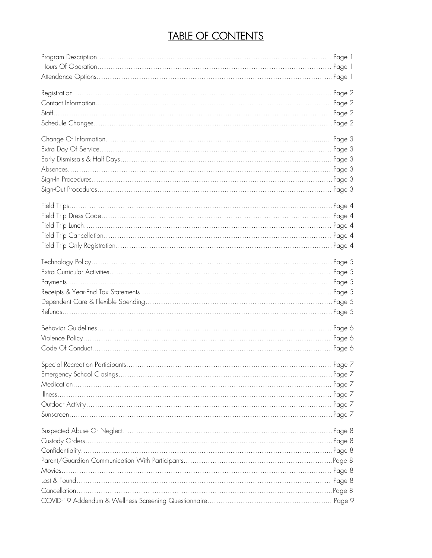# TABLE OF CONTENTS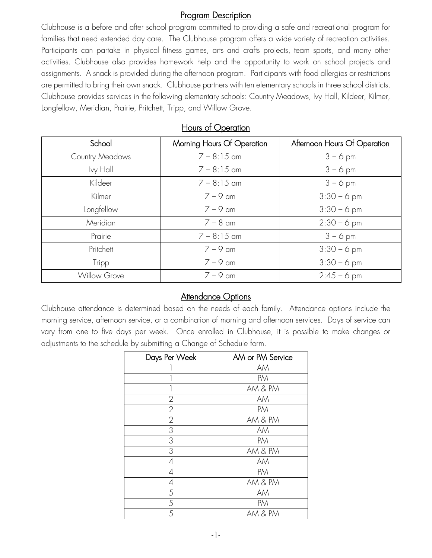### Program Description

Clubhouse is a before and after school program committed to providing a safe and recreational program for families that need extended day care. The Clubhouse program offers a wide variety of recreation activities. Participants can partake in physical fitness games, arts and crafts projects, team sports, and many other activities. Clubhouse also provides homework help and the opportunity to work on school projects and assignments. A snack is provided during the afternoon program. Participants with food allergies or restrictions are permitted to bring their own snack. Clubhouse partners with ten elementary schools in three school districts. Clubhouse provides services in the following elementary schools: Country Meadows, Ivy Hall, Kildeer, Kilmer, Longfellow, Meridian, Prairie, Pritchett, Tripp, and Willow Grove.

| School                 | Morning Hours Of Operation | Afternoon Hours Of Operation |
|------------------------|----------------------------|------------------------------|
| <b>Country Meadows</b> | $7 - 8:15$ am              | $3 - 6$ pm                   |
| lvy Hall               | $7 - 8:15$ am              | $3 - 6$ pm                   |
| Kildeer                | $7 - 8:15$ am              | $3 - 6$ pm                   |
| Kilmer                 | $7 - 9$ am                 | $3:30 - 6$ pm                |
| Longfellow             | $7 - 9$ am                 | $3:30 - 6$ pm                |
| Meridian               | $7 - 8$ am                 | $2:30 - 6$ pm                |
| Prairie                | $7 - 8:15$ am              | $3 - 6$ pm                   |
| Pritchett              | $7 - 9$ am                 | $3:30 - 6$ pm                |
| Tripp                  | $7 - 9$ am                 | $3:30 - 6$ pm                |
| <b>Willow Grove</b>    | $7 - 9$ am                 | $2:45 - 6$ pm                |

# Hours of Operation

# **Attendance Options**

Clubhouse attendance is determined based on the needs of each family. Attendance options include the morning service, afternoon service, or a combination of morning and afternoon services. Days of service can vary from one to five days per week. Once enrolled in Clubhouse, it is possible to make changes or adjustments to the schedule by submitting a Change of Schedule form.

| Days Per Week  | AM or PM Service |
|----------------|------------------|
|                | AM               |
|                | PM               |
|                | AM & PM          |
| $\overline{2}$ | AM               |
| $\mathbf{2}$   | PM               |
| $\overline{2}$ | AM & PM          |
| 3              | AM               |
| 3              | PM               |
| 3              | AM & PM          |
| 4              | AM               |
| $\overline{A}$ | PM               |
| 4              | AM & PM          |
| 5              | AM               |
| 5              | PM               |
| 5              | AM & PM          |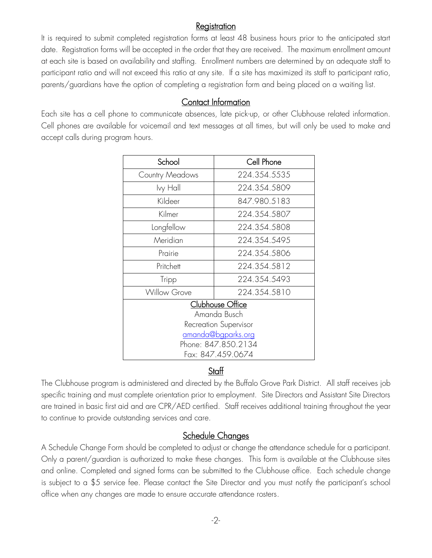#### **Registration**

It is required to submit completed registration forms at least 48 business hours prior to the anticipated start date. Registration forms will be accepted in the order that they are received. The maximum enrollment amount at each site is based on availability and staffing. Enrollment numbers are determined by an adequate staff to participant ratio and will not exceed this ratio at any site. If a site has maximized its staff to participant ratio, parents/guardians have the option of completing a registration form and being placed on a waiting list.

# Contact Information

Each site has a cell phone to communicate absences, late pick-up, or other Clubhouse related information. Cell phones are available for voicemail and text messages at all times, but will only be used to make and accept calls during program hours.

| School                           | Cell Phone   |  |  |
|----------------------------------|--------------|--|--|
| <b>Country Meadows</b>           | 224.354.5535 |  |  |
| lvy Hall                         | 224.354.5809 |  |  |
| Kildeer                          | 847.980.5183 |  |  |
| Kilmer                           | 224.354.5807 |  |  |
| Longfellow                       | 224.354.5808 |  |  |
| Meridian                         | 224.354.5495 |  |  |
| Prairie                          | 224.354.5806 |  |  |
| Pritchett                        | 224.354.5812 |  |  |
| Tripp                            | 224.354.5493 |  |  |
| <b>Willow Grove</b>              | 224.354.5810 |  |  |
| Clubhouse Office<br>Amanda Busch |              |  |  |
| Recreation Supervisor            |              |  |  |
| amanda@bgparks.org               |              |  |  |
| Phone: 847.850.2134              |              |  |  |
| Fax: 847.459.0674                |              |  |  |

# **Staff**

The Clubhouse program is administered and directed by the Buffalo Grove Park District. All staff receives job specific training and must complete orientation prior to employment. Site Directors and Assistant Site Directors are trained in basic first aid and are CPR/AED certified. Staff receives additional training throughout the year to continue to provide outstanding services and care.

# Schedule Changes

A Schedule Change Form should be completed to adjust or change the attendance schedule for a participant. Only a parent/guardian is authorized to make these changes. This form is available at the Clubhouse sites and online. Completed and signed forms can be submitted to the Clubhouse office. Each schedule change is subject to a \$5 service fee. Please contact the Site Director and you must notify the participant's school office when any changes are made to ensure accurate attendance rosters.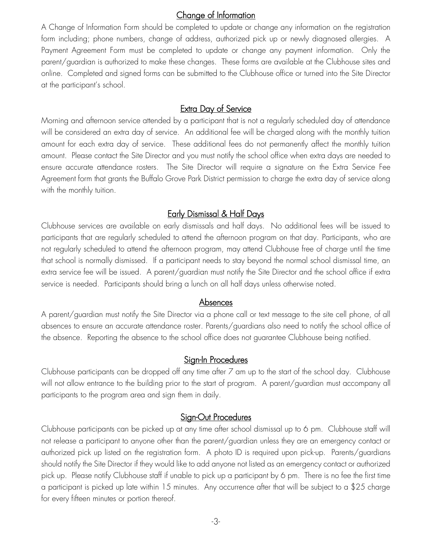#### Change of Information

A Change of Information Form should be completed to update or change any information on the registration form including; phone numbers, change of address, authorized pick up or newly diagnosed allergies. A Payment Agreement Form must be completed to update or change any payment information. Only the parent/guardian is authorized to make these changes. These forms are available at the Clubhouse sites and online. Completed and signed forms can be submitted to the Clubhouse office or turned into the Site Director at the participant's school.

### Extra Day of Service

Morning and afternoon service attended by a participant that is not a regularly scheduled day of attendance will be considered an extra day of service. An additional fee will be charged along with the monthly tuition amount for each extra day of service. These additional fees do not permanently affect the monthly tuition amount. Please contact the Site Director and you must notify the school office when extra days are needed to ensure accurate attendance rosters. The Site Director will require a signature on the Extra Service Fee Agreement form that grants the Buffalo Grove Park District permission to charge the extra day of service along with the monthly tuition.

# Early Dismissal & Half Days

Clubhouse services are available on early dismissals and half days. No additional fees will be issued to participants that are regularly scheduled to attend the afternoon program on that day. Participants, who are not regularly scheduled to attend the afternoon program, may attend Clubhouse free of charge until the time that school is normally dismissed. If a participant needs to stay beyond the normal school dismissal time, an extra service fee will be issued. A parent/guardian must notify the Site Director and the school office if extra service is needed. Participants should bring a lunch on all half days unless otherwise noted.

#### Absences

A parent/guardian must notify the Site Director via a phone call or text message to the site cell phone, of all absences to ensure an accurate attendance roster. Parents/guardians also need to notify the school office of the absence. Reporting the absence to the school office does not guarantee Clubhouse being notified.

#### Sign-In Procedures

Clubhouse participants can be dropped off any time after 7 am up to the start of the school day. Clubhouse will not allow entrance to the building prior to the start of program. A parent/guardian must accompany all participants to the program area and sign them in daily.

#### Sign-Out Procedures

Clubhouse participants can be picked up at any time after school dismissal up to 6 pm. Clubhouse staff will not release a participant to anyone other than the parent/guardian unless they are an emergency contact or authorized pick up listed on the registration form. A photo ID is required upon pick-up. Parents/guardians should notify the Site Director if they would like to add anyone not listed as an emergency contact or authorized pick up. Please notify Clubhouse staff if unable to pick up a participant by 6 pm. There is no fee the first time a participant is picked up late within 15 minutes. Any occurrence after that will be subject to a \$25 charge for every fifteen minutes or portion thereof.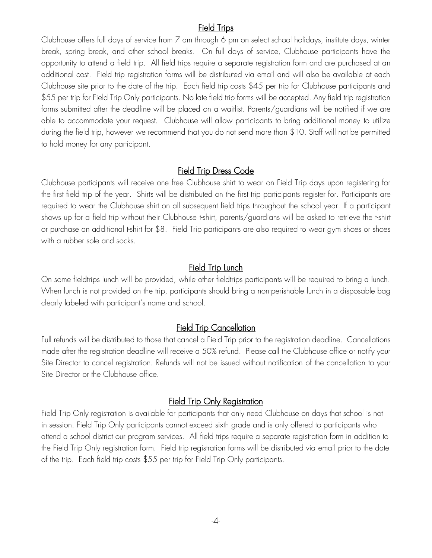### Field Trips

Clubhouse offers full days of service from 7 am through 6 pm on select school holidays, institute days, winter break, spring break, and other school breaks. On full days of service, Clubhouse participants have the opportunity to attend a field trip. All field trips require a separate registration form and are purchased at an additional cost. Field trip registration forms will be distributed via email and will also be available at each Clubhouse site prior to the date of the trip. Each field trip costs \$45 per trip for Clubhouse participants and \$55 per trip for Field Trip Only participants. No late field trip forms will be accepted. Any field trip registration forms submitted after the deadline will be placed on a waitlist. Parents/guardians will be notified if we are able to accommodate your request. Clubhouse will allow participants to bring additional money to utilize during the field trip, however we recommend that you do not send more than \$10. Staff will not be permitted to hold money for any participant.

#### Field Trip Dress Code

Clubhouse participants will receive one free Clubhouse shirt to wear on Field Trip days upon registering for the first field trip of the year. Shirts will be distributed on the first trip participants register for. Participants are required to wear the Clubhouse shirt on all subsequent field trips throughout the school year. If a participant shows up for a field trip without their Clubhouse t-shirt, parents/guardians will be asked to retrieve the t-shirt or purchase an additional t-shirt for \$8. Field Trip participants are also required to wear gym shoes or shoes with a rubber sole and socks.

#### **Field Trip Lunch**

On some fieldtrips lunch will be provided, while other fieldtrips participants will be required to bring a lunch. When lunch is not provided on the trip, participants should bring a non-perishable lunch in a disposable bag clearly labeled with participant's name and school.

#### **Field Trip Cancellation**

Full refunds will be distributed to those that cancel a Field Trip prior to the registration deadline. Cancellations made after the registration deadline will receive a 50% refund. Please call the Clubhouse office or notify your Site Director to cancel registration. Refunds will not be issued without notification of the cancellation to your Site Director or the Clubhouse office.

#### Field Trip Only Registration

Field Trip Only registration is available for participants that only need Clubhouse on days that school is not in session. Field Trip Only participants cannot exceed sixth grade and is only offered to participants who attend a school district our program services. All field trips require a separate registration form in addition to the Field Trip Only registration form. Field trip registration forms will be distributed via email prior to the date of the trip. Each field trip costs \$55 per trip for Field Trip Only participants.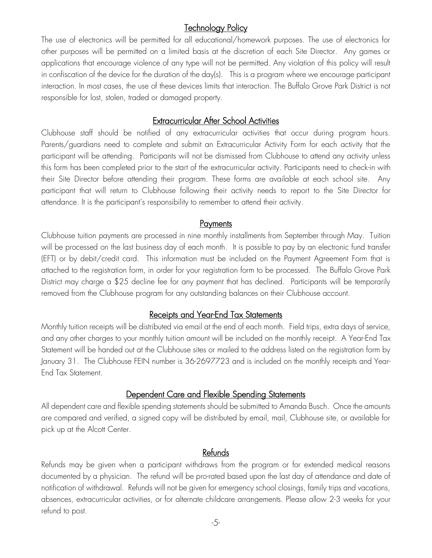### Technology Policy

The use of electronics will be permitted for all educational/homework purposes. The use of electronics for other purposes will be permitted on a limited basis at the discretion of each Site Director. Any games or applications that encourage violence of any type will not be permitted. Any violation of this policy will result in confiscation of the device for the duration of the day(s). This is a program where we encourage participant interaction. In most cases, the use of these devices limits that interaction. The Buffalo Grove Park District is not responsible for lost, stolen, traded or damaged property.

#### Extracurricular After School Activities

Clubhouse staff should be notified of any extracurricular activities that occur during program hours. Parents/guardians need to complete and submit an Extracurricular Activity Form for each activity that the participant will be attending. Participants will not be dismissed from Clubhouse to attend any activity unless this form has been completed prior to the start of the extracurricular activity. Participants need to check-in with their Site Director before attending their program. These forms are available at each school site. Any participant that will return to Clubhouse following their activity needs to report to the Site Director for attendance. It is the participant's responsibility to remember to attend their activity.

#### **Payments**

Clubhouse tuition payments are processed in nine monthly installments from September through May. Tuition will be processed on the last business day of each month. It is possible to pay by an electronic fund transfer (EFT) or by debit/credit card. This information must be included on the Payment Agreement Form that is attached to the registration form, in order for your registration form to be processed. The Buffalo Grove Park District may charge a \$25 decline fee for any payment that has declined. Participants will be temporarily removed from the Clubhouse program for any outstanding balances on their Clubhouse account.

#### Receipts and Year-End Tax Statements

Monthly tuition receipts will be distributed via email at the end of each month. Field trips, extra days of service, and any other charges to your monthly tuition amount will be included on the monthly receipt. A Year-End Tax Statement will be handed out at the Clubhouse sites or mailed to the address listed on the registration form by January 31. The Clubhouse FEIN number is 36-2697723 and is included on the monthly receipts and Year-End Tax Statement.

# Dependent Care and Flexible Spending Statements

All dependent care and flexible spending statements should be submitted to Amanda Busch. Once the amounts are compared and verified, a signed copy will be distributed by email, mail, Clubhouse site, or available for pick up at the Alcott Center.

# Refunds

Refunds may be given when a participant withdraws from the program or for extended medical reasons documented by a physician. The refund will be pro-rated based upon the last day of attendance and date of notification of withdrawal. Refunds will not be given for emergency school closings, family trips and vacations, absences, extracurricular activities, or for alternate childcare arrangements. Please allow 2-3 weeks for your refund to post.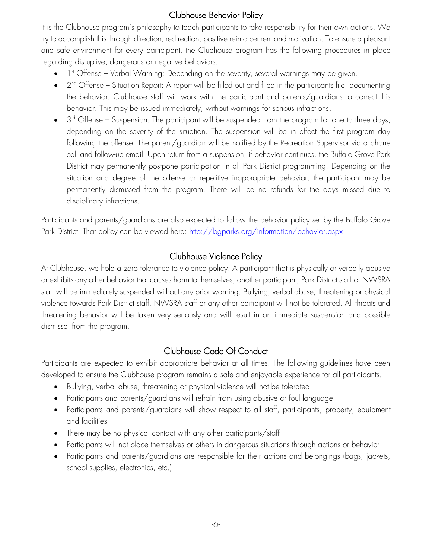# Clubhouse Behavior Policy

It is the Clubhouse program's philosophy to teach participants to take responsibility for their own actions. We try to accomplish this through direction, redirection, positive reinforcement and motivation. To ensure a pleasant and safe environment for every participant, the Clubhouse program has the following procedures in place regarding disruptive, dangerous or negative behaviors:

- $\bullet$  1st Offense Verbal Warning: Depending on the severity, several warnings may be given.
- $\bullet$  2<sup>nd</sup> Offense Situation Report: A report will be filled out and filed in the participants file, documenting the behavior. Clubhouse staff will work with the participant and parents/guardians to correct this behavior. This may be issued immediately, without warnings for serious infractions.
- $\bullet$  3<sup>rd</sup> Offense Suspension: The participant will be suspended from the program for one to three days, depending on the severity of the situation. The suspension will be in effect the first program day following the offense. The parent/guardian will be notified by the Recreation Supervisor via a phone call and follow-up email. Upon return from a suspension, if behavior continues, the Buffalo Grove Park District may permanently postpone participation in all Park District programming. Depending on the situation and degree of the offense or repetitive inappropriate behavior, the participant may be permanently dismissed from the program. There will be no refunds for the days missed due to disciplinary infractions.

Participants and parents/guardians are also expected to follow the behavior policy set by the Buffalo Grove Park District. That policy can be viewed here: [http://bgparks.org/information/behavior.aspx.](http://bgparks.org/information/behavior.aspx)

# Clubhouse Violence Policy

At Clubhouse, we hold a zero tolerance to violence policy. A participant that is physically or verbally abusive or exhibits any other behavior that causes harm to themselves, another participant, Park District staff or NWSRA staff will be immediately suspended without any prior warning. Bullying, verbal abuse, threatening or physical violence towards Park District staff, NWSRA staff or any other participant will not be tolerated. All threats and threatening behavior will be taken very seriously and will result in an immediate suspension and possible dismissal from the program.

# Clubhouse Code Of Conduct

Participants are expected to exhibit appropriate behavior at all times. The following guidelines have been developed to ensure the Clubhouse program remains a safe and enjoyable experience for all participants.

- Bullying, verbal abuse, threatening or physical violence will not be tolerated
- Participants and parents/guardians will refrain from using abusive or foul language
- Participants and parents/guardians will show respect to all staff, participants, property, equipment and facilities
- There may be no physical contact with any other participants/staff
- Participants will not place themselves or others in dangerous situations through actions or behavior
- Participants and parents/guardians are responsible for their actions and belongings (bags, jackets, school supplies, electronics, etc.)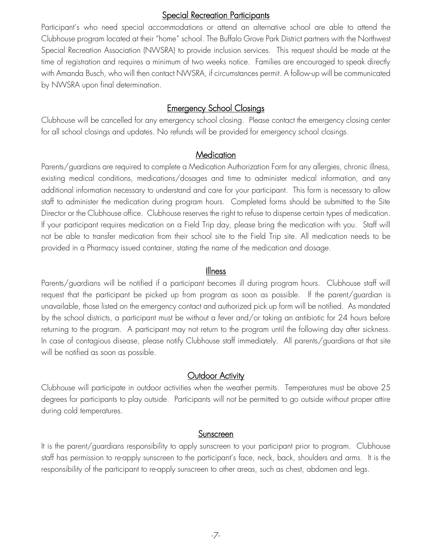#### **Special Recreation Participants**

Participant's who need special accommodations or attend an alternative school are able to attend the Clubhouse program located at their "home" school. The Buffalo Grove Park District partners with the Northwest Special Recreation Association (NWSRA) to provide inclusion services. This request should be made at the time of registration and requires a minimum of two weeks notice. Families are encouraged to speak directly with Amanda Busch, who will then contact NWSRA, if circumstances permit. A follow-up will be communicated by NWSRA upon final determination.

### Emergency School Closings

Clubhouse will be cancelled for any emergency school closing. Please contact the emergency closing center for all school closings and updates. No refunds will be provided for emergency school closings.

#### **Medication**

Parents/guardians are required to complete a Medication Authorization Form for any allergies, chronic illness, existing medical conditions, medications/dosages and time to administer medical information, and any additional information necessary to understand and care for your participant. This form is necessary to allow staff to administer the medication during program hours. Completed forms should be submitted to the Site Director or the Clubhouse office. Clubhouse reserves the right to refuse to dispense certain types of medication. If your participant requires medication on a Field Trip day, please bring the medication with you. Staff will not be able to transfer medication from their school site to the Field Trip site. All medication needs to be provided in a Pharmacy issued container, stating the name of the medication and dosage.

#### Illness

Parents/guardians will be notified if a participant becomes ill during program hours. Clubhouse staff will request that the participant be picked up from program as soon as possible. If the parent/guardian is unavailable, those listed on the emergency contact and authorized pick up form will be notified. As mandated by the school districts, a participant must be without a fever and/or taking an antibiotic for 24 hours before returning to the program. A participant may not return to the program until the following day after sickness. In case of contagious disease, please notify Clubhouse staff immediately. All parents/guardians at that site will be notified as soon as possible.

#### Outdoor Activity

Clubhouse will participate in outdoor activities when the weather permits. Temperatures must be above 25 degrees for participants to play outside. Participants will not be permitted to go outside without proper attire during cold temperatures.

#### Sunscreen

It is the parent/guardians responsibility to apply sunscreen to your participant prior to program. Clubhouse staff has permission to re-apply sunscreen to the participant's face, neck, back, shoulders and arms. It is the responsibility of the participant to re-apply sunscreen to other areas, such as chest, abdomen and legs.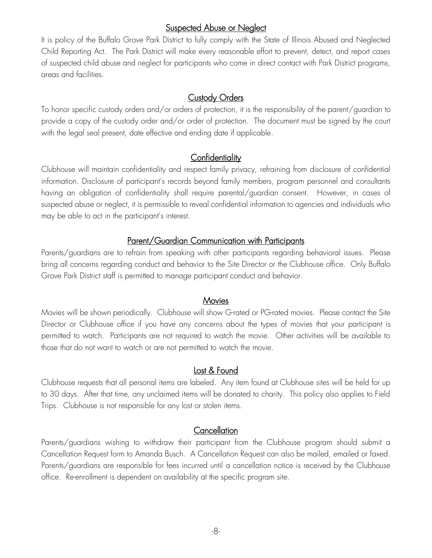#### **Suspected Abuse or Neglect**

It is policy of the Buffalo Grove Park District to fully comply with the State of Illinois Abused and Neglected Child Reporting Act. The Park District will make every reasonable effort to prevent, detect, and report cases of suspected child abuse and neglect for participants who come in direct contact with Park District programs, areas and facilities.

#### Custody Orders

To honor specific custody orders and/or orders of protection, it is the responsibility of the parent/guardian to provide a copy of the custody order and/or order of protection. The document must be signed by the court with the legal seal present, date effective and ending date if applicable.

### **Confidentiality**

Clubhouse will maintain confidentiality and respect family privacy, refraining from disclosure of confidential information. Disclosure of participant's records beyond family members, program personnel and consultants having an obligation of confidentiality shall require parental/guardian consent. However, in cases of suspected abuse or neglect, it is permissible to reveal confidential information to agencies and individuals who may be able to act in the participant's interest.

### Parent/Guardian Communication with Participants

Parents/guardians are to refrain from speaking with other participants regarding behavioral issues. Please bring all concerns regarding conduct and behavior to the Site Director or the Clubhouse office. Only Buffalo Grove Park District staff is permitted to manage participant conduct and behavior.

#### **Movies**

Movies will be shown periodically. Clubhouse will show G-rated or PG-rated movies. Please contact the Site Director or Clubhouse office if you have any concerns about the types of movies that your participant is permitted to watch. Participants are not required to watch the movie. Other activities will be available to those that do not want to watch or are not permitted to watch the movie.

#### Lost & Found

Clubhouse requests that all personal items are labeled. Any item found at Clubhouse sites will be held for up to 30 days. After that time, any unclaimed items will be donated to charity. This policy also applies to Field Trips. Clubhouse is not responsible for any lost or stolen items.

#### **Cancellation**

Parents/guardians wishing to withdraw their participant from the Clubhouse program should submit a Cancellation Request form to Amanda Busch. A Cancellation Request can also be mailed, emailed or faxed. Parents/guardians are responsible for fees incurred until a cancellation notice is received by the Clubhouse office. Re-enrollment is dependent on availability at the specific program site.